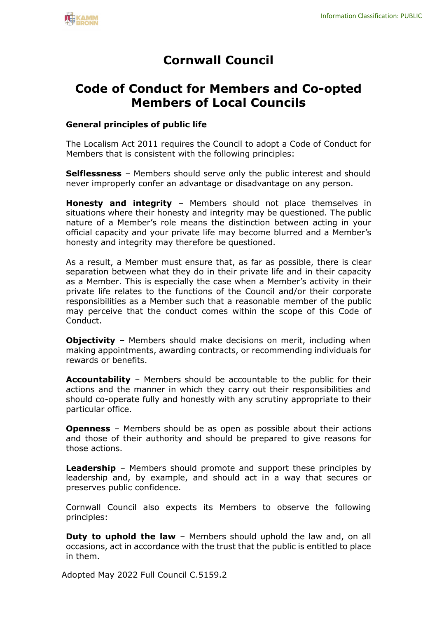# **Cornwall Council**

## **Code of Conduct for Members and Co-opted Members of Local Councils**

#### **General principles of public life**

The Localism Act 2011 requires the Council to adopt a Code of Conduct for Members that is consistent with the following principles:

**Selflessness** – Members should serve only the public interest and should never improperly confer an advantage or disadvantage on any person.

**Honesty and integrity** – Members should not place themselves in situations where their honesty and integrity may be questioned. The public nature of a Member's role means the distinction between acting in your official capacity and your private life may become blurred and a Member's honesty and integrity may therefore be questioned.

As a result, a Member must ensure that, as far as possible, there is clear separation between what they do in their private life and in their capacity as a Member. This is especially the case when a Member's activity in their private life relates to the functions of the Council and/or their corporate responsibilities as a Member such that a reasonable member of the public may perceive that the conduct comes within the scope of this Code of Conduct.

**Objectivity** – Members should make decisions on merit, including when making appointments, awarding contracts, or recommending individuals for rewards or benefits.

**Accountability** – Members should be accountable to the public for their actions and the manner in which they carry out their responsibilities and should co-operate fully and honestly with any scrutiny appropriate to their particular office.

**Openness** – Members should be as open as possible about their actions and those of their authority and should be prepared to give reasons for those actions.

**Leadership** – Members should promote and support these principles by leadership and, by example, and should act in a way that secures or preserves public confidence.

Cornwall Council also expects its Members to observe the following principles:

**Duty to uphold the law** – Members should uphold the law and, on all occasions, act in accordance with the trust that the public is entitled to place in them.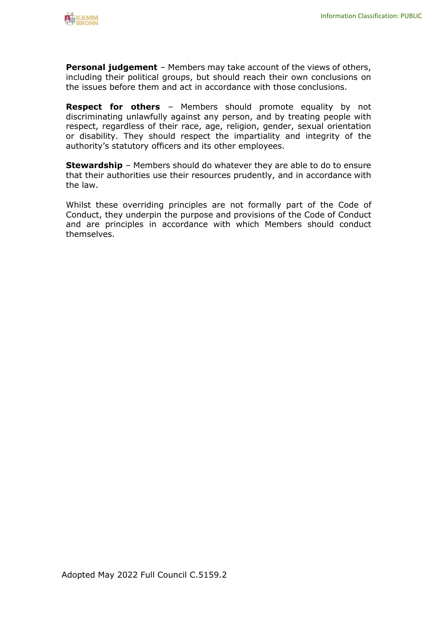

**Personal judgement** – Members may take account of the views of others, including their political groups, but should reach their own conclusions on the issues before them and act in accordance with those conclusions.

**Respect for others** – Members should promote equality by not discriminating unlawfully against any person, and by treating people with respect, regardless of their race, age, religion, gender, sexual orientation or disability. They should respect the impartiality and integrity of the authority's statutory officers and its other employees.

**Stewardship** – Members should do whatever they are able to do to ensure that their authorities use their resources prudently, and in accordance with the law.

Whilst these overriding principles are not formally part of the Code of Conduct, they underpin the purpose and provisions of the Code of Conduct and are principles in accordance with which Members should conduct themselves.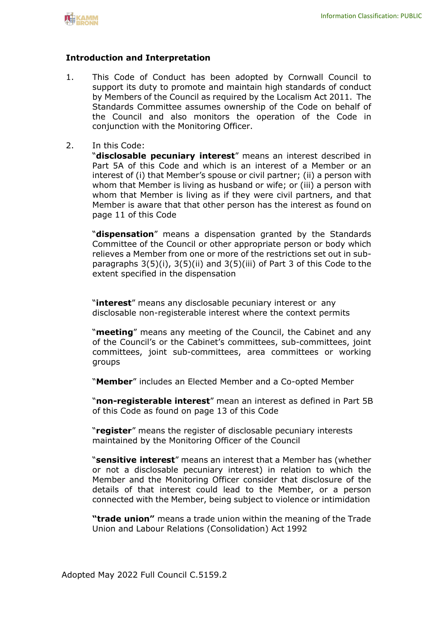

#### **Introduction and Interpretation**

- 1. This Code of Conduct has been adopted by Cornwall Council to support its duty to promote and maintain high standards of conduct by Members of the Council as required by the Localism Act 2011. The Standards Committee assumes ownership of the Code on behalf of the Council and also monitors the operation of the Code in conjunction with the Monitoring Officer.
- 2. In this Code:

"**disclosable pecuniary interest**" means an interest described in Part 5A of this Code and which is an interest of a Member or an interest of (i) that Member's spouse or civil partner; (ii) a person with whom that Member is living as husband or wife; or (iii) a person with whom that Member is living as if they were civil partners, and that Member is aware that that other person has the interest as found on page 11 of this Code

"**dispensation**" means a dispensation granted by the Standards Committee of the Council or other appropriate person or body which relieves a Member from one or more of the restrictions set out in subparagraphs  $3(5)(i)$ ,  $3(5)(ii)$  and  $3(5)(iii)$  of Part 3 of this Code to the extent specified in the dispensation

"**interest**" means any disclosable pecuniary interest or any disclosable non-registerable interest where the context permits

"**meeting**" means any meeting of the Council, the Cabinet and any of the Council's or the Cabinet's committees, sub-committees, joint committees, joint sub-committees, area committees or working groups

"**Member**" includes an Elected Member and a Co-opted Member

"**non-registerable interest**" mean an interest as defined in Part 5B of this Code as found on page 13 of this Code

"**register**" means the register of disclosable pecuniary interests maintained by the Monitoring Officer of the Council

"**sensitive interest**" means an interest that a Member has (whether or not a disclosable pecuniary interest) in relation to which the Member and the Monitoring Officer consider that disclosure of the details of that interest could lead to the Member, or a person connected with the Member, being subject to violence or intimidation

**"trade union"** means a trade union within the meaning of the Trade Union and Labour Relations (Consolidation) Act 1992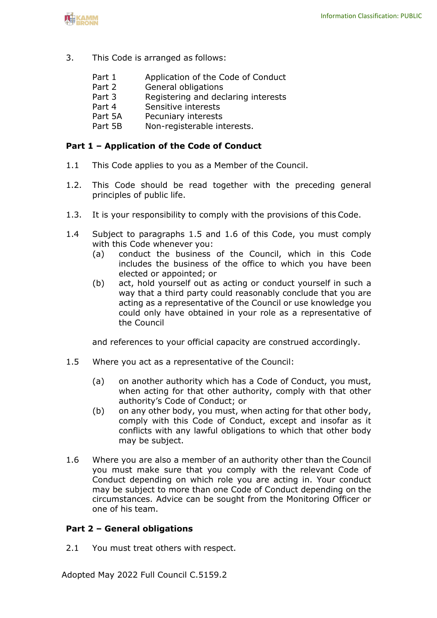

- 3. This Code is arranged as follows:
	- Part 1 Application of the Code of Conduct
	- Part 2 General obligations
	- Part 3 Registering and declaring interests<br>Part 4 Sensitive interests
	- Part 4 Sensitive interests<br>Part 5A Pecuniary interests
	- Pecuniary interests
	- Part 5B Non-registerable interests.

#### **Part 1 – Application of the Code of Conduct**

- 1.1 This Code applies to you as a Member of the Council.
- 1.2. This Code should be read together with the preceding general principles of public life.
- 1.3. It is your responsibility to comply with the provisions of this Code.
- 1.4 Subject to paragraphs 1.5 and 1.6 of this Code, you must comply with this Code whenever you:
	- (a) conduct the business of the Council, which in this Code includes the business of the office to which you have been elected or appointed; or
	- (b) act, hold yourself out as acting or conduct yourself in such a way that a third party could reasonably conclude that you are acting as a representative of the Council or use knowledge you could only have obtained in your role as a representative of the Council

and references to your official capacity are construed accordingly.

- 1.5 Where you act as a representative of the Council:
	- (a) on another authority which has a Code of Conduct, you must, when acting for that other authority, comply with that other authority's Code of Conduct; or
	- (b) on any other body, you must, when acting for that other body, comply with this Code of Conduct, except and insofar as it conflicts with any lawful obligations to which that other body may be subject.
- 1.6 Where you are also a member of an authority other than the Council you must make sure that you comply with the relevant Code of Conduct depending on which role you are acting in. Your conduct may be subject to more than one Code of Conduct depending on the circumstances. Advice can be sought from the Monitoring Officer or one of his team.

#### **Part 2 – General obligations**

2.1 You must treat others with respect.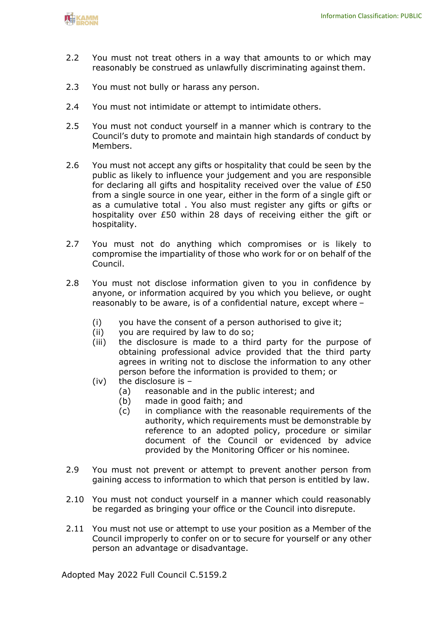

- 2.2 You must not treat others in a way that amounts to or which may reasonably be construed as unlawfully discriminating against them.
- 2.3 You must not bully or harass any person.
- 2.4 You must not intimidate or attempt to intimidate others.
- 2.5 You must not conduct yourself in a manner which is contrary to the Council's duty to promote and maintain high standards of conduct by Members.
- 2.6 You must not accept any gifts or hospitality that could be seen by the public as likely to influence your judgement and you are responsible for declaring all gifts and hospitality received over the value of  $E50$ from a single source in one year, either in the form of a single gift or as a cumulative total . You also must register any gifts or gifts or hospitality over £50 within 28 days of receiving either the gift or hospitality.
- 2.7 You must not do anything which compromises or is likely to compromise the impartiality of those who work for or on behalf of the Council.
- 2.8 You must not disclose information given to you in confidence by anyone, or information acquired by you which you believe, or ought reasonably to be aware, is of a confidential nature, except where –
	- (i) you have the consent of a person authorised to give it;
	- (ii) you are required by law to do so;
	- (iii) the disclosure is made to a third party for the purpose of obtaining professional advice provided that the third party agrees in writing not to disclose the information to any other person before the information is provided to them; or
	- (iv) the disclosure is  $-$ 
		- (a) reasonable and in the public interest; and
		- (b) made in good faith; and
		- (c) in compliance with the reasonable requirements of the authority, which requirements must be demonstrable by reference to an adopted policy, procedure or similar document of the Council or evidenced by advice provided by the Monitoring Officer or his nominee.
- 2.9 You must not prevent or attempt to prevent another person from gaining access to information to which that person is entitled by law.
- 2.10 You must not conduct yourself in a manner which could reasonably be regarded as bringing your office or the Council into disrepute.
- 2.11 You must not use or attempt to use your position as a Member of the Council improperly to confer on or to secure for yourself or any other person an advantage or disadvantage.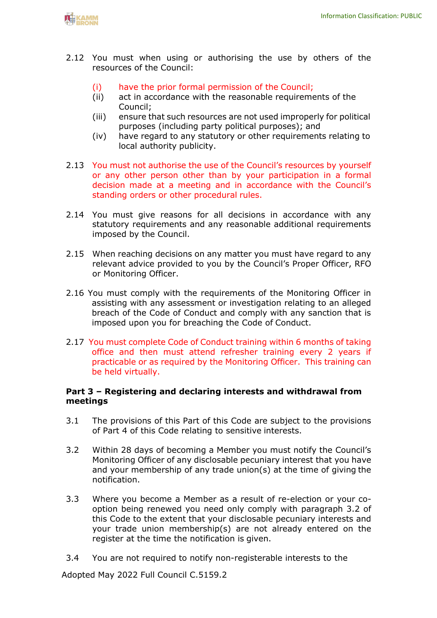

- 2.12 You must when using or authorising the use by others of the resources of the Council:
	- (i) have the prior formal permission of the Council;
	- (ii) act in accordance with the reasonable requirements of the Council;
	- (iii) ensure that such resources are not used improperly for political purposes (including party political purposes); and
	- (iv) have regard to any statutory or other requirements relating to local authority publicity.
- 2.13 You must not authorise the use of the Council's resources by yourself or any other person other than by your participation in a formal decision made at a meeting and in accordance with the Council's standing orders or other procedural rules.
- 2.14 You must give reasons for all decisions in accordance with any statutory requirements and any reasonable additional requirements imposed by the Council.
- 2.15 When reaching decisions on any matter you must have regard to any relevant advice provided to you by the Council's Proper Officer, RFO or Monitoring Officer.
- 2.16 You must comply with the requirements of the Monitoring Officer in assisting with any assessment or investigation relating to an alleged breach of the Code of Conduct and comply with any sanction that is imposed upon you for breaching the Code of Conduct.
- 2.17 You must complete Code of Conduct training within 6 months of taking office and then must attend refresher training every 2 years if practicable or as required by the Monitoring Officer. This training can be held virtually.

#### **Part 3 – Registering and declaring interests and withdrawal from meetings**

- 3.1 The provisions of this Part of this Code are subject to the provisions of Part 4 of this Code relating to sensitive interests.
- 3.2 Within 28 days of becoming a Member you must notify the Council's Monitoring Officer of any disclosable pecuniary interest that you have and your membership of any trade union(s) at the time of giving the notification.
- 3.3 Where you become a Member as a result of re-election or your cooption being renewed you need only comply with paragraph 3.2 of this Code to the extent that your disclosable pecuniary interests and your trade union membership(s) are not already entered on the register at the time the notification is given.
- 3.4 You are not required to notify non-registerable interests to the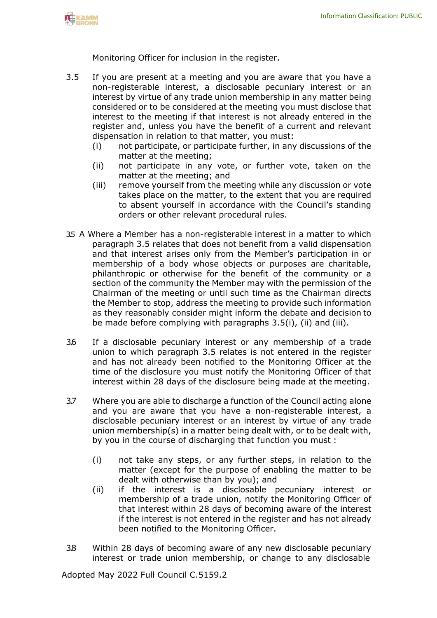Monitoring Officer for inclusion in the register.

- 3.5 If you are present at a meeting and you are aware that you have a non-registerable interest, a disclosable pecuniary interest or an interest by virtue of any trade union membership in any matter being considered or to be considered at the meeting you must disclose that interest to the meeting if that interest is not already entered in the register and, unless you have the benefit of a current and relevant dispensation in relation to that matter, you must:
	- (i) not participate, or participate further, in any discussions of the matter at the meeting;
	- (ii) not participate in any vote, or further vote, taken on the matter at the meeting; and
	- (iii) remove yourself from the meeting while any discussion or vote takes place on the matter, to the extent that you are required to absent yourself in accordance with the Council's standing orders or other relevant procedural rules.
- 3.5 A Where a Member has a non-registerable interest in a matter to which paragraph 3.5 relates that does not benefit from a valid dispensation and that interest arises only from the Member's participation in or membership of a body whose objects or purposes are charitable, philanthropic or otherwise for the benefit of the community or a section of the community the Member may with the permission of the Chairman of the meeting or until such time as the Chairman directs the Member to stop, address the meeting to provide such information as they reasonably consider might inform the debate and decision to be made before complying with paragraphs 3.5(i), (ii) and (iii).
- 3.6 If a disclosable pecuniary interest or any membership of a trade union to which paragraph 3.5 relates is not entered in the register and has not already been notified to the Monitoring Officer at the time of the disclosure you must notify the Monitoring Officer of that interest within 28 days of the disclosure being made at the meeting.
- 3.7 Where you are able to discharge a function of the Council acting alone and you are aware that you have a non-registerable interest, a disclosable pecuniary interest or an interest by virtue of any trade union membership(s) in a matter being dealt with, or to be dealt with, by you in the course of discharging that function you must :
	- (i) not take any steps, or any further steps, in relation to the matter (except for the purpose of enabling the matter to be dealt with otherwise than by you); and
	- (ii) if the interest is a disclosable pecuniary interest or membership of a trade union, notify the Monitoring Officer of that interest within 28 days of becoming aware of the interest if the interest is not entered in the register and has not already been notified to the Monitoring Officer.
- 3.8 Within 28 days of becoming aware of any new disclosable pecuniary interest or trade union membership, or change to any disclosable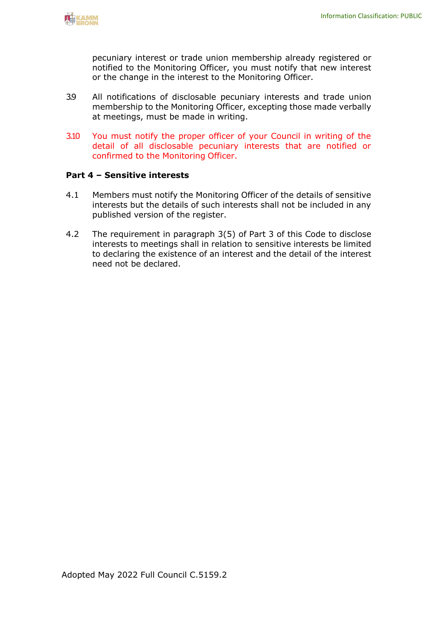pecuniary interest or trade union membership already registered or notified to the Monitoring Officer, you must notify that new interest or the change in the interest to the Monitoring Officer.

- 3.9 All notifications of disclosable pecuniary interests and trade union membership to the Monitoring Officer, excepting those made verbally at meetings, must be made in writing.
- 3.10 You must notify the proper officer of your Council in writing of the detail of all disclosable pecuniary interests that are notified or confirmed to the Monitoring Officer.

#### **Part 4 – Sensitive interests**

- 4.1 Members must notify the Monitoring Officer of the details of sensitive interests but the details of such interests shall not be included in any published version of the register.
- 4.2 The requirement in paragraph 3(5) of Part 3 of this Code to disclose interests to meetings shall in relation to sensitive interests be limited to declaring the existence of an interest and the detail of the interest need not be declared.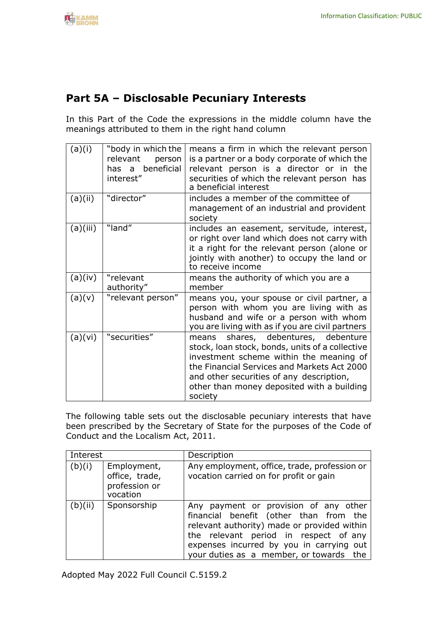### **Part 5A – Disclosable Pecuniary Interests**

In this Part of the Code the expressions in the middle column have the meanings attributed to them in the right hand column

| (a)(i)   | "body in which the<br>relevant<br>person<br>has a beneficial<br>interest" | means a firm in which the relevant person<br>is a partner or a body corporate of which the<br>relevant person is a director or in the<br>securities of which the relevant person has<br>a beneficial interest                                                                         |
|----------|---------------------------------------------------------------------------|---------------------------------------------------------------------------------------------------------------------------------------------------------------------------------------------------------------------------------------------------------------------------------------|
| (a)(ii)  | "director"                                                                | includes a member of the committee of<br>management of an industrial and provident<br>society                                                                                                                                                                                         |
| (a)(iii) | "land"                                                                    | includes an easement, servitude, interest,<br>or right over land which does not carry with<br>it a right for the relevant person (alone or<br>jointly with another) to occupy the land or<br>to receive income                                                                        |
| (a)(iv)  | "relevant<br>authority"                                                   | means the authority of which you are a<br>member                                                                                                                                                                                                                                      |
| (a)(v)   | "relevant person"                                                         | means you, your spouse or civil partner, a<br>person with whom you are living with as<br>husband and wife or a person with whom<br>you are living with as if you are civil partners                                                                                                   |
| (a)(vi)  | "securities"                                                              | means shares, debentures, debenture<br>stock, loan stock, bonds, units of a collective<br>investment scheme within the meaning of<br>the Financial Services and Markets Act 2000<br>and other securities of any description,<br>other than money deposited with a building<br>society |

The following table sets out the disclosable pecuniary interests that have been prescribed by the Secretary of State for the purposes of the Code of Conduct and the Localism Act, 2011.

| Interest |                                                            | Description                                                                                                                                                                                                                                                    |
|----------|------------------------------------------------------------|----------------------------------------------------------------------------------------------------------------------------------------------------------------------------------------------------------------------------------------------------------------|
| (b)(i)   | Employment,<br>office, trade,<br>profession or<br>vocation | Any employment, office, trade, profession or<br>vocation carried on for profit or gain                                                                                                                                                                         |
| (b)(ii)  | Sponsorship                                                | Any payment or provision of any other<br>financial benefit (other than from the<br>relevant authority) made or provided within<br>the relevant period in respect of any<br>expenses incurred by you in carrying out<br>your duties as a member, or towards the |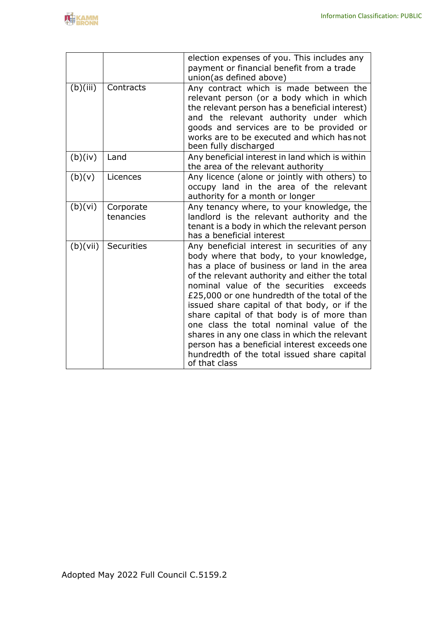|          |                        | election expenses of you. This includes any<br>payment or financial benefit from a trade<br>union(as defined above)                                                                                                                                                                                                                                                                                                                                                                                                                                                                                |
|----------|------------------------|----------------------------------------------------------------------------------------------------------------------------------------------------------------------------------------------------------------------------------------------------------------------------------------------------------------------------------------------------------------------------------------------------------------------------------------------------------------------------------------------------------------------------------------------------------------------------------------------------|
| (b)(iii) | Contracts              | Any contract which is made between the<br>relevant person (or a body which in which<br>the relevant person has a beneficial interest)<br>and the relevant authority under which<br>goods and services are to be provided or<br>works are to be executed and which has not<br>been fully discharged                                                                                                                                                                                                                                                                                                 |
| (b)(iv)  | Land                   | Any beneficial interest in land which is within<br>the area of the relevant authority                                                                                                                                                                                                                                                                                                                                                                                                                                                                                                              |
| (b)(v)   | Licences               | Any licence (alone or jointly with others) to<br>occupy land in the area of the relevant<br>authority for a month or longer                                                                                                                                                                                                                                                                                                                                                                                                                                                                        |
| (b)(vi)  | Corporate<br>tenancies | Any tenancy where, to your knowledge, the<br>landlord is the relevant authority and the<br>tenant is a body in which the relevant person<br>has a beneficial interest                                                                                                                                                                                                                                                                                                                                                                                                                              |
| (b)(vii) | Securities             | Any beneficial interest in securities of any<br>body where that body, to your knowledge,<br>has a place of business or land in the area<br>of the relevant authority and either the total<br>nominal value of the securities<br>exceeds<br>£25,000 or one hundredth of the total of the<br>issued share capital of that body, or if the<br>share capital of that body is of more than<br>one class the total nominal value of the<br>shares in any one class in which the relevant<br>person has a beneficial interest exceeds one<br>hundredth of the total issued share capital<br>of that class |